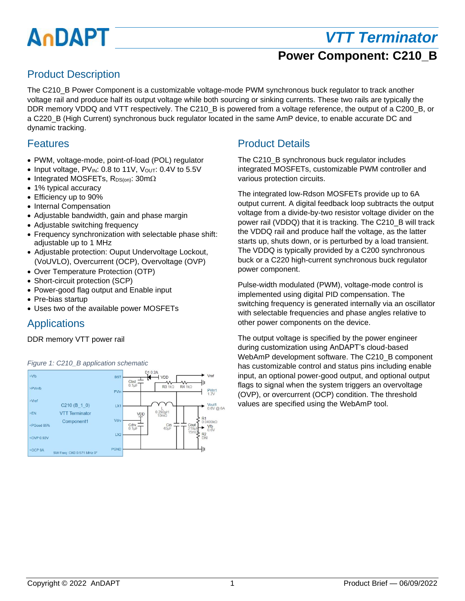# AnDAPT

# *VTT Terminator*

## **Power Component: C210\_B**

## Product Description

The C210 B Power Component is a customizable voltage-mode PWM synchronous buck regulator to track another voltage rail and produce half its output voltage while both sourcing or sinking currents. These two rails are typically the DDR memory VDDQ and VTT respectively. The C210\_B is powered from a voltage reference, the output of a C200\_B, or a C220\_B (High Current) synchronous buck regulator located in the same AmP device, to enable accurate DC and dynamic tracking.

#### Features

- PWM, voltage-mode, point-of-load (POL) regulator
- Input voltage, PVIN: 0.8 to 11V, Vout: 0.4V to 5.5V
- Integrated MOSFETs,  $R_{DS(on)}$ : 30m $\Omega$
- 1% typical accuracy
- Efficiency up to 90%
- Internal Compensation
- Adjustable bandwidth, gain and phase margin
- Adjustable switching frequency
- Frequency synchronization with selectable phase shift: adjustable up to 1 MHz
- Adjustable protection: Ouput Undervoltage Lockout, (VoUVLO), Overcurrent (OCP), Overvoltage (OVP)
- Over Temperature Protection (OTP)
- Short-circuit protection (SCP)
- Power-good flag output and Enable input
- Pre-bias startup
- Uses two of the available power MOSFETs

#### **Applications**

#### DDR memory VTT power rail



*Figure 1: C210\_B application schematic*

## Product Details

The C210 B synchronous buck regulator includes integrated MOSFETs, customizable PWM controller and various protection circuits.

The integrated low-Rdson MOSFETs provide up to 6A output current. A digital feedback loop subtracts the output voltage from a divide-by-two resistor voltage divider on the power rail (VDDQ) that it is tracking. The C210\_B will track the VDDQ rail and produce half the voltage, as the latter starts up, shuts down, or is perturbed by a load transient. The VDDQ is typically provided by a C200 synchronous buck or a C220 high-current synchronous buck regulator power component.

Pulse-width modulated (PWM), voltage-mode control is implemented using digital PID compensation. The switching frequency is generated internally via an oscillator with selectable frequencies and phase angles relative to other power components on the device.

The output voltage is specified by the power engineer during customization using AnDAPT's cloud-based WebAmP development software. The C210\_B component has customizable control and status pins including enable input, an optional power-good output, and optional output flags to signal when the system triggers an overvoltage (OVP), or overcurrent (OCP) condition. The threshold values are specified using the WebAmP tool.